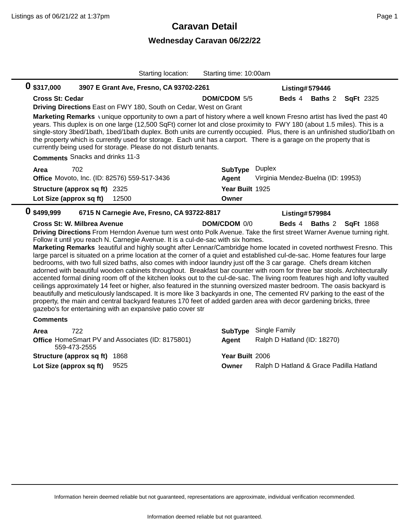## **Caravan Detail**

## **Wednesday Caravan 06/22/22**

| Starting location:                                                                                                                                                                                                                                                                                                                                                                                                                                                                                                                                                                                                                                                                                                                                                                                                                                                                                                                                                                                                                                                                                                                                                                                | Starting time: 10:00am                                                                                                                                                                     |  |  |  |
|---------------------------------------------------------------------------------------------------------------------------------------------------------------------------------------------------------------------------------------------------------------------------------------------------------------------------------------------------------------------------------------------------------------------------------------------------------------------------------------------------------------------------------------------------------------------------------------------------------------------------------------------------------------------------------------------------------------------------------------------------------------------------------------------------------------------------------------------------------------------------------------------------------------------------------------------------------------------------------------------------------------------------------------------------------------------------------------------------------------------------------------------------------------------------------------------------|--------------------------------------------------------------------------------------------------------------------------------------------------------------------------------------------|--|--|--|
| 0 \$317,000<br>3907 E Grant Ave, Fresno, CA 93702-2261                                                                                                                                                                                                                                                                                                                                                                                                                                                                                                                                                                                                                                                                                                                                                                                                                                                                                                                                                                                                                                                                                                                                            | Listing#579446                                                                                                                                                                             |  |  |  |
| <b>Cross St: Cedar</b><br>Driving Directions East on FWY 180, South on Cedar, West on Grant                                                                                                                                                                                                                                                                                                                                                                                                                                                                                                                                                                                                                                                                                                                                                                                                                                                                                                                                                                                                                                                                                                       | <b>Beds 4</b><br><b>Baths 2</b><br><b>SqFt</b> 2325<br><b>DOM/CDOM 5/5</b>                                                                                                                 |  |  |  |
| Marketing Remarks \unique opportunity to own a part of history where a well known Fresno artist has lived the past 40<br>years. This duplex is on one large (12,500 SqFt) corner lot and close proximity to FWY 180 (about 1.5 miles). This is a<br>single-story 3bed/1bath, 1bed/1bath duplex. Both units are currently occupied. Plus, there is an unfinished studio/1bath on<br>the property which is currently used for storage. Each unit has a carport. There is a garage on the property that is<br>currently being used for storage. Please do not disturb tenants.                                                                                                                                                                                                                                                                                                                                                                                                                                                                                                                                                                                                                       |                                                                                                                                                                                            |  |  |  |
| <b>Comments</b> Snacks and drinks 11-3                                                                                                                                                                                                                                                                                                                                                                                                                                                                                                                                                                                                                                                                                                                                                                                                                                                                                                                                                                                                                                                                                                                                                            |                                                                                                                                                                                            |  |  |  |
| 702<br>Area<br>Office Movoto, Inc. (ID: 82576) 559-517-3436                                                                                                                                                                                                                                                                                                                                                                                                                                                                                                                                                                                                                                                                                                                                                                                                                                                                                                                                                                                                                                                                                                                                       | <b>Duplex</b><br><b>SubType</b><br>Agent<br>Virginia Mendez-Buelna (ID: 19953)                                                                                                             |  |  |  |
| Structure (approx sq ft) 2325                                                                                                                                                                                                                                                                                                                                                                                                                                                                                                                                                                                                                                                                                                                                                                                                                                                                                                                                                                                                                                                                                                                                                                     | Year Built 1925                                                                                                                                                                            |  |  |  |
| Lot Size (approx sq ft)<br>12500                                                                                                                                                                                                                                                                                                                                                                                                                                                                                                                                                                                                                                                                                                                                                                                                                                                                                                                                                                                                                                                                                                                                                                  | Owner                                                                                                                                                                                      |  |  |  |
| 0 \$499,999<br>6715 N Carnegie Ave, Fresno, CA 93722-8817<br><b>Listing#579984</b>                                                                                                                                                                                                                                                                                                                                                                                                                                                                                                                                                                                                                                                                                                                                                                                                                                                                                                                                                                                                                                                                                                                |                                                                                                                                                                                            |  |  |  |
|                                                                                                                                                                                                                                                                                                                                                                                                                                                                                                                                                                                                                                                                                                                                                                                                                                                                                                                                                                                                                                                                                                                                                                                                   |                                                                                                                                                                                            |  |  |  |
| Cross St: W. Milbrea Avenue<br>Driving Directions From Herndon Avenue turn west onto Polk Avenue. Take the first street Warner Avenue turning right.<br>Follow it until you reach N. Carnegie Avenue. It is a cul-de-sac with six homes.<br>large parcel is situated on a prime location at the corner of a quiet and established cul-de-sac. Home features four large<br>bedrooms, with two full sized baths, also comes with indoor laundry just off the 3 car garage. Chefs dream kitchen<br>adorned with beautiful wooden cabinets throughout. Breakfast bar counter with room for three bar stools. Architecturally<br>accented formal dining room off of the kitchen looks out to the cul-de-sac. The living room features high and lofty vaulted<br>ceilings approximately 14 feet or higher, also featured in the stunning oversized master bedroom. The oasis backyard is<br>beautifully and meticulously landscaped. It is more like 3 backyards in one, The cemented RV parking to the east of the<br>property, the main and central backyard features 170 feet of added garden area with decor gardening bricks, three<br>gazebo's for entertaining with an expansive patio cover str | DOM/CDOM 0/0<br><b>Beds</b> 4<br><b>Baths 2</b><br><b>SqFt</b> 1868<br>Marketing Remarks 3eautiful and highly sought after Lennar/Cambridge home located in coveted northwest Fresno. This |  |  |  |
| <b>Comments</b>                                                                                                                                                                                                                                                                                                                                                                                                                                                                                                                                                                                                                                                                                                                                                                                                                                                                                                                                                                                                                                                                                                                                                                                   |                                                                                                                                                                                            |  |  |  |
| 722<br>Area<br>Office HomeSmart PV and Associates (ID: 8175801)<br>559-473-2555                                                                                                                                                                                                                                                                                                                                                                                                                                                                                                                                                                                                                                                                                                                                                                                                                                                                                                                                                                                                                                                                                                                   | Single Family<br><b>SubType</b><br>Ralph D Hatland (ID: 18270)<br>Agent                                                                                                                    |  |  |  |
| <b>Structure (approx sq ft) 1868</b>                                                                                                                                                                                                                                                                                                                                                                                                                                                                                                                                                                                                                                                                                                                                                                                                                                                                                                                                                                                                                                                                                                                                                              | Year Built 2006                                                                                                                                                                            |  |  |  |

Information herein deemed reliable but not guaranteed, representations are approximate, individual verification recommended.